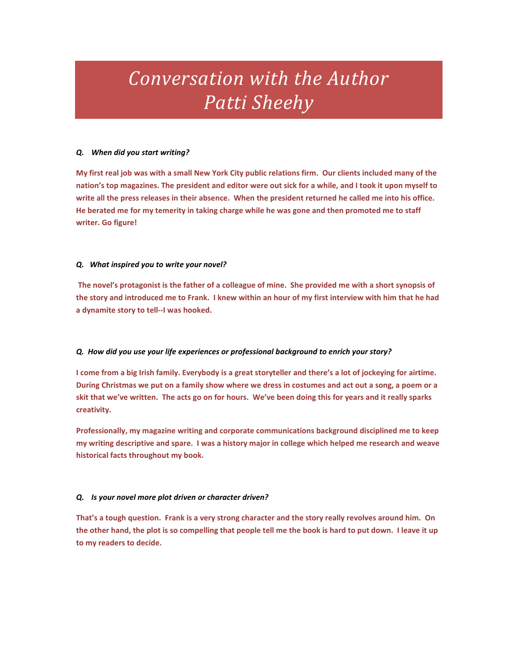# *Conversation with the Author Patti Sheehy*

# *Q. When did you start writing?*

**My first real job was with a small New York City public relations firm. Our clients included many of the nation's top magazines. The president and editor were out sick for a while, and I took it upon myself to write all the press releases in their absence. When the president returned he called me into his office. He berated me for my temerity in taking charge while he was gone and then promoted me to staff writer. Go figure!**

# *Q. What inspired you to write your novel?*

**The novel's protagonist is the father of a colleague of mine. She provided me with a short synopsis of the story and introduced me to Frank. I knew within an hour of my first interview with him that he had a dynamite story to tell--I was hooked.** 

# *Q. How did you use your life experiences or professional background to enrich your story?*

**I come from a big Irish family. Everybody is a great storyteller and there's a lot of jockeying for airtime. During Christmas we put on a family show where we dress in costumes and act out a song, a poem or a skit that we've written. The acts go on for hours. We've been doing this for years and it really sparks creativity.**

**Professionally, my magazine writing and corporate communications background disciplined me to keep my writing descriptive and spare. I was a history major in college which helped me research and weave historical facts throughout my book.** 

# *Q. Is your novel more plot driven or character driven?*

**That's a tough question. Frank is a very strong character and the story really revolves around him. On the other hand, the plot is so compelling that people tell me the book is hard to put down. I leave it up to my readers to decide.**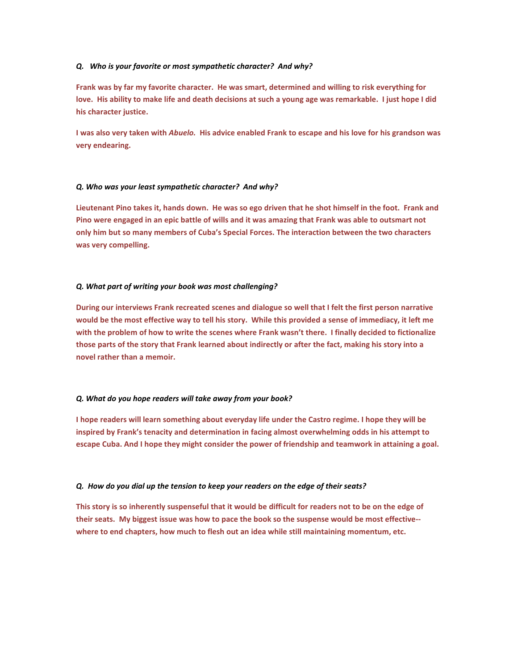#### *Q. Who is your favorite or most sympathetic character? And why?*

**Frank was by far my favorite character. He was smart, determined and willing to risk everything for love. His ability to make life and death decisions at such a young age was remarkable. I just hope I did his character justice.** 

**I was also very taken with** *Abuelo.* **His advice enabled Frank to escape and his love for his grandson was very endearing.**

#### *Q. Who was your least sympathetic character? And why?*

**Lieutenant Pino takes it, hands down. He was so ego driven that he shot himself in the foot. Frank and Pino were engaged in an epic battle of wills and it was amazing that Frank was able to outsmart not only him but so many members of Cuba's Special Forces. The interaction between the two characters was very compelling.** 

## *Q. What part of writing your book was most challenging?*

**During our interviews Frank recreated scenes and dialogue so well that I felt the first person narrative would be the most effective way to tell his story. While this provided a sense of immediacy, it left me with the problem of how to write the scenes where Frank wasn't there. I finally decided to fictionalize those parts of the story that Frank learned about indirectly or after the fact, making his story into a novel rather than a memoir.**

#### *Q. What do you hope readers will take away from your book?*

**I hope readers will learn something about everyday life under the Castro regime. I hope they will be inspired by Frank's tenacity and determination in facing almost overwhelming odds in his attempt to escape Cuba. And I hope they might consider the power of friendship and teamwork in attaining a goal.** 

#### *Q. How do you dial up the tension to keep your readers on the edge of their seats?*

**This story is so inherently suspenseful that it would be difficult for readers not to be on the edge of their seats. My biggest issue was how to pace the book so the suspense would be most effective- where to end chapters, how much to flesh out an idea while still maintaining momentum, etc.**